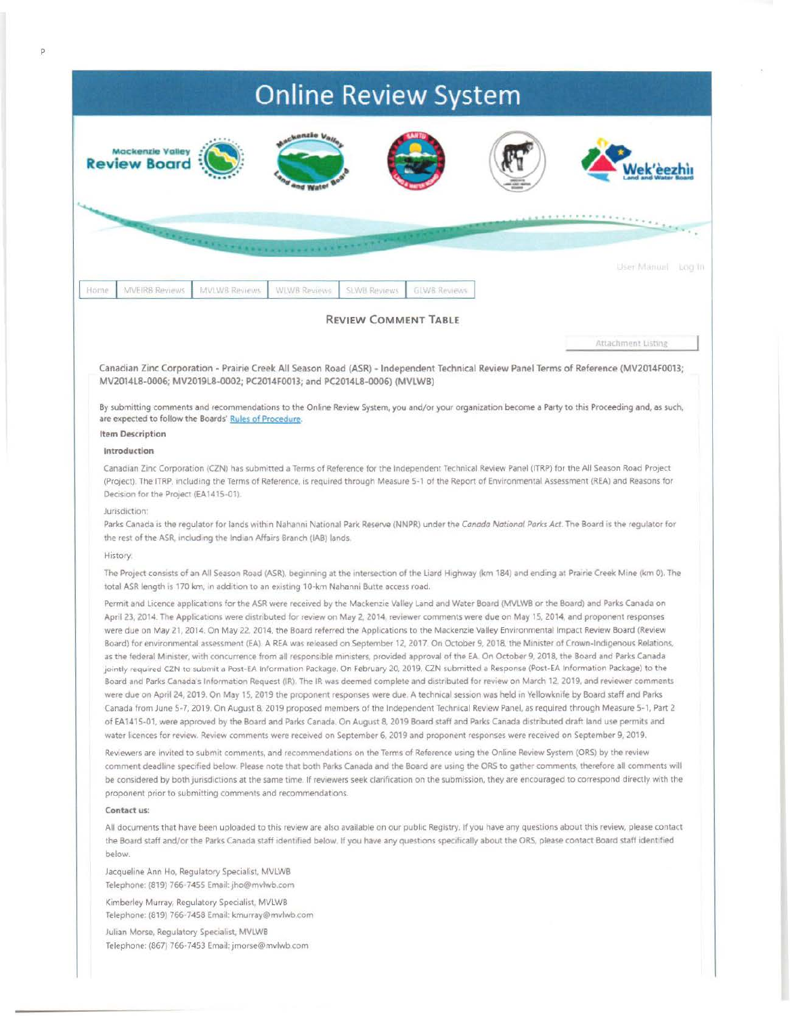## **Online Review System Mackenzie Valley Review Board** ek'èezhìi talkin ville User Manual Log In Home **MVEIRB Reviews** MVLWB Reviews **WLWB Reviews SLWB Reviews GLWB Reviews REVIEW COMMENT TABLE** Attachment Listine Canadian Zinc Corporation - Prairie Creek All Season Road (ASR) - Independent Technical Review Panel Terms of Reference (MV2014F0013; MV2014L8-0006; MV2019L8-0002; PC2014F0013; and PC2014L8-0006) (MVLWB) By submitting comments and recommendations to the Online Review System, you and/or your organization become a Party to this Proceeding and, as such, are expected to follow the Boards' Rules of Procedure. **Item Description** Introduction Canadian Zinc Corporation (CZN) has submitted a Terms of Reference for the Independent Technical Review Panel (ITRP) for the All Season Road Project (Project). The ITRP, including the Terms of Reference, is required through Measure 5-1 of the Report of Environmental Assessment (REA) and Reasons for Decision for the Project (EA1415-01). Jurisdiction: Parks Canada is the regulator for lands within Nahanni National Park Reserve (NNPR) under the Canada National Parks Act. The Board is the regulator for the rest of the ASR, including the Indian Affairs Branch (IAB) lands. **History** The Project consists of an All Season Road (ASR), beginning at the intersection of the Liard Highway (km 184) and ending at Prairie Creek Mine (km 0). The total ASR length is 170 km, in addition to an existing 10-km Nahanni Butte access road. Permit and Licence applications for the ASR were received by the Mackenzie Valley Land and Water Board (MVLWB or the Board) and Parks Canada on April 23, 2014. The Applications were distributed for review on May 2, 2014, reviewer comments were due on May 15, 2014, and proponent responses were due on May 21, 2014. On May 22, 2014, the Board referred the Applications to the Mackenzie Valley Environmental Impact Review Board (Review Board) for environmental assessment (EA). A REA was released on September 12, 2017. On October 9, 2018, the Minister of Crown-Indigenous Relations, as the federal Minister, with concurrence from all responsible ministers, provided approval of the EA. On October 9, 2018, the Board and Parks Canada jointly required CZN to submit a Post-EA Information Package, On February 20, 2019, CZN submitted a Response (Post-EA Information Package) to the Board and Parks Canada's Information Request (IR). The IR was deemed complete and distributed for review on March 12, 2019, and reviewer comments were due on April 24, 2019. On May 15, 2019 the proponent responses were due. A technical session was held in Yellowknife by Board staff and Parks Canada from June 5-7, 2019. On August 8, 2019 proposed members of the Independent Technical Review Panel, as required through Measure 5-1, Part 2 of EA1415-01, were approved by the Board and Parks Canada. On August 8, 2019 Board staff and Parks Canada distributed draft land use permits and water licences for review. Review comments were received on September 6, 2019 and proponent responses were received on September 9, 2019. Reviewers are invited to submit comments, and recommendations on the Terms of Reference using the Online Review System (ORS) by the review comment deadline specified below. Please note that both Parks Canada and the Board are using the ORS to gather comments, therefore all comments will be considered by both jurisdictions at the same time. If reviewers seek clarification on the submission, they are encouraged to correspond directly with the proponent prior to submitting comments and recommendations. Contact us: All documents that have been uploaded to this review are also available on our public Registry. If you have any questions about this review, please contact the Board staff and/or the Parks Canada staff identified below. If you have any questions specifically about the ORS, please contact Board staff identified below Jacqueline Ann Ho, Regulatory Specialist, MVLWB Telephone: (819) 766-7455 Email: jho@mvlwb.com Kimberley Murray, Regulatory Specialist, MVLWB Telephone: (819) 766-7458 Email: kmurray@mvlwb.com

Julian Morse, Regulatory Specialist, MVLWB Telephone: (867) 766-7453 Email: jmorse@mvlwb.com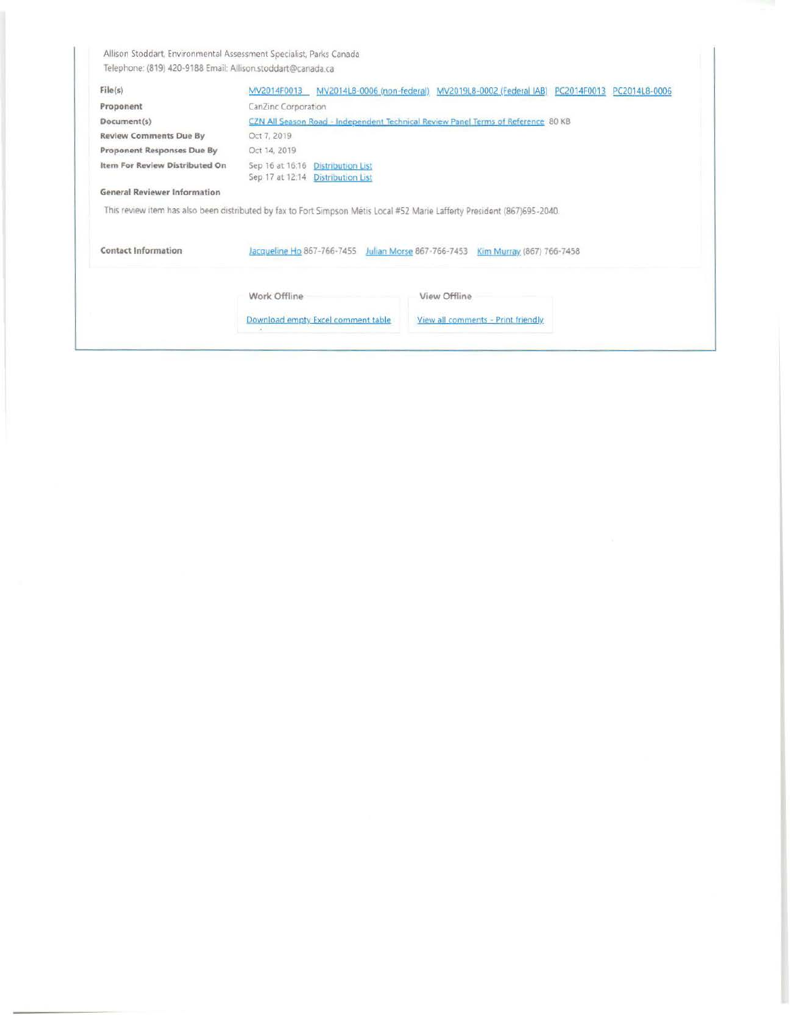Allison Stoddart, Environmental Assessment Specialist, Parks Canada Telephone: (819) 420-9188 Email: Allison.stoddart@canada.ca

| File(s)                             | MV2014F0013                                                                                                               | MV2014L8-0006 (non-federal) MV2019L8-0002 (Federal IAB) PC2014F0013 | PC2014L8-0006 |  |  |  |  |  |  |
|-------------------------------------|---------------------------------------------------------------------------------------------------------------------------|---------------------------------------------------------------------|---------------|--|--|--|--|--|--|
| Proponent                           | CanZinc Corporation                                                                                                       |                                                                     |               |  |  |  |  |  |  |
| Document(s)                         | CZN All Season Road - Independent Technical Review Panel Terms of Reference 80 KB                                         |                                                                     |               |  |  |  |  |  |  |
| <b>Review Comments Due By</b>       | Oct 7, 2019                                                                                                               |                                                                     |               |  |  |  |  |  |  |
| Proponent Responses Due By          | Oct 14, 2019                                                                                                              |                                                                     |               |  |  |  |  |  |  |
| Item For Review Distributed On      | Sep 16 at 16:16<br><b>Distribution List</b><br>Sep 17 at 12:14<br><b>Distribution List</b>                                |                                                                     |               |  |  |  |  |  |  |
| <b>General Reviewer Information</b> |                                                                                                                           |                                                                     |               |  |  |  |  |  |  |
|                                     | This review item has also been distributed by fax to Fort Simpson Métis Local #52 Marie Lafferty President (867)695-2040. |                                                                     |               |  |  |  |  |  |  |
| <b>Contact Information</b>          | Jacqueline Ho 867-766-7455<br>Julian Morse 867-766-7453<br>Kim Murray (867) 766-7458                                      |                                                                     |               |  |  |  |  |  |  |
|                                     |                                                                                                                           |                                                                     |               |  |  |  |  |  |  |
|                                     | Work Offline                                                                                                              | View Offline                                                        |               |  |  |  |  |  |  |